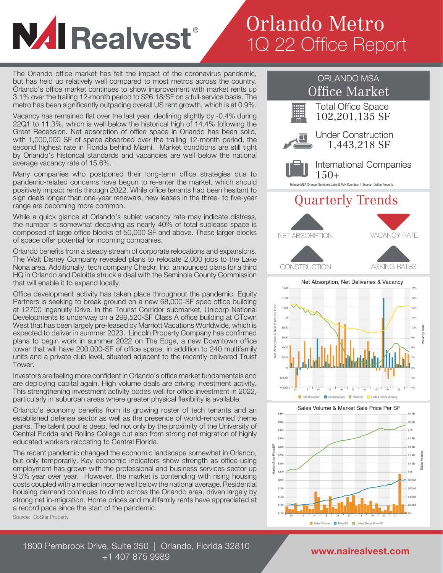## **NAI Realvest**®

## Orlando Metro 1Q 22 Office Report

The Orlando office market has felt the impact of the coronavirus pandemic, but has held up relatively well compared to most metros across the country. Orlando's office market continues to show improvement with market rents up 3.1% over the trailing 12-month period to \$26.18/SF on a full-service basis. The metro has been significantly outpacing overall US rent growth, which is at 0.9%.

Vacancy has remained flat over the last year, declining slightly by -0.4% during 22Q1 to 11.3%, which is well below the historical high of 14.4% following the Great Recession. Net absorption of office space in Orlando has been solid, with 1,000,000 SF of space absorbed over the trailing 12-month period, the second highest rate in Florida behind Miami. Market conditions are still tight by Orlando's historical standards and vacancies are well below the national average vacancy rate of 15.6%.

Many companies who postponed their long-term office strategies due to pandemic-related concerns have begun to re-enter the market, which should positively impact rents through 2022. While office tenants had been hesitant to sign deals longer than one-year renewals, new leases in the three- to five-year range are becoming more common.

While a quick glance at Orlando's sublet vacancy rate may indicate distress, the number is somewhat deceiving as nearly 40% of total sublease space is composed of large office blocks of 50,000 SF and above. These larger blocks of space offer potential for incoming companies.

Orlando benefits from a steady stream of corporate relocations and expansions. The Walt Disney Company revealed plans to relocate 2,000 jobs to the Lake Nona area. Additionally, tech company Checkr, Inc. announced plans for a third HQ in Orlando and Deloitte struck a deal with the Seminole County Commission that will enable it to expand locally.

Office development activity has taken place throughout the pandemic. Equity Partners is seeking to break ground on a new 68,000-SF spec office building at 12700 Ingenuity Drive. In the Tourist Corridor submarket, Unicorp National Developments is underway on a 299,520-SF Class A office building at OTown West that has been largely pre-leased by Marriott Vacations Worldwide, which is expected to deliver in summer 2023. Lincoln Property Company has confirmed plans to begin work in summer 2022 on The Edge, a new Downtown office tower that will have 200,000-SF of office space, in addition to 240 multifamily units and a private club level, situated adjacent to the recently delivered Truist Tower.

Investors are feeling more confident in Orlando's office market fundamentals and are deploying capital again. High volume deals are driving investment activity. This strengthening investment activity bodes well for office investment in 2022, particularly in suburban areas where greater physical flexibility is available.

Orlando's economy benefits from its growing roster of tech tenants and an established defense sector as well as the presence of world-renowned theme parks. The talent pool is deep, fed not only by the proximity of the University of Central Florida and Rollins College but also from strong net migration of highly educated workers relocating to Central Florida.

The recent pandemic changed the economic landscape somewhat in Orlando, but only temporarily. Key economic indicators show strength as office-using employment has grown with the professional and business services sector up 9.3% year over year. However, the market is contending with rising housing costs coupled with a median income well below the national average. Residential housing demand continues to climb across the Orlando area, driven largely by strong net in-migration. Home prices and multifamily rents have appreciated at a record pace since the start of the pandemic.

Source: CoStar Property



1800 Pembrook Drive, Suite 350 | Orlando, Florida 32810  $+1\,407\,875\,9989$  www.nairealvest.com

12 13 14 15 16 17 18 19 20 21 22

Sales Volume V Price/SF V United States Pric

 $^{\rm so}$ \$200M \$400M \$600M \$800M \$1B

\$120 \$140 \$160 \$180 \$200 \$220